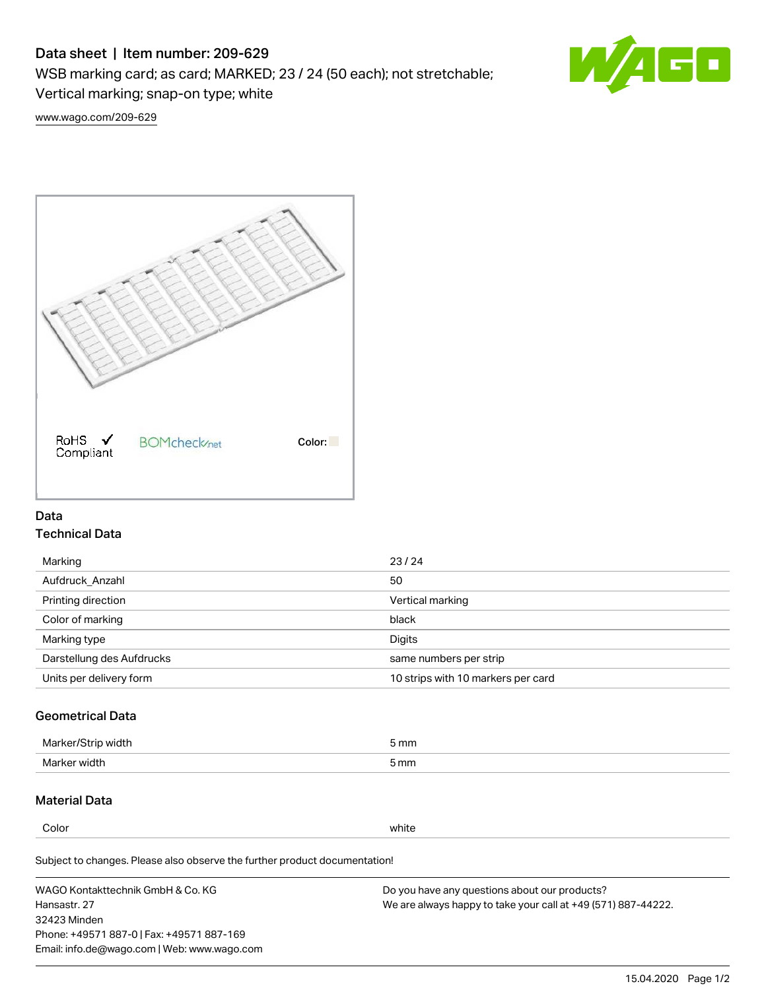# Data sheet | Item number: 209-629

WSB marking card; as card; MARKED; 23 / 24 (50 each); not stretchable;

Vertical marking; snap-on type; white



[www.wago.com/209-629](http://www.wago.com/209-629)



## Data Technical Data

| Marking                   | 23/24                              |
|---------------------------|------------------------------------|
| Aufdruck Anzahl           | 50                                 |
| Printing direction        | Vertical marking                   |
| Color of marking          | black                              |
| Marking type              | Digits                             |
| Darstellung des Aufdrucks | same numbers per strip             |
| Units per delivery form   | 10 strips with 10 markers per card |

# Geometrical Data

| Mar<br>.        | 5 mm |
|-----------------|------|
| Marker<br>width | 5 mm |

## Material Data

Color white

Subject to changes. Please also observe the further product documentation!

WAGO Kontakttechnik GmbH & Co. KG Hansastr. 27 32423 Minden Phone: +49571 887-0 | Fax: +49571 887-169 Email: info.de@wago.com | Web: www.wago.com Do you have any questions about our products? We are always happy to take your call at +49 (571) 887-44222.